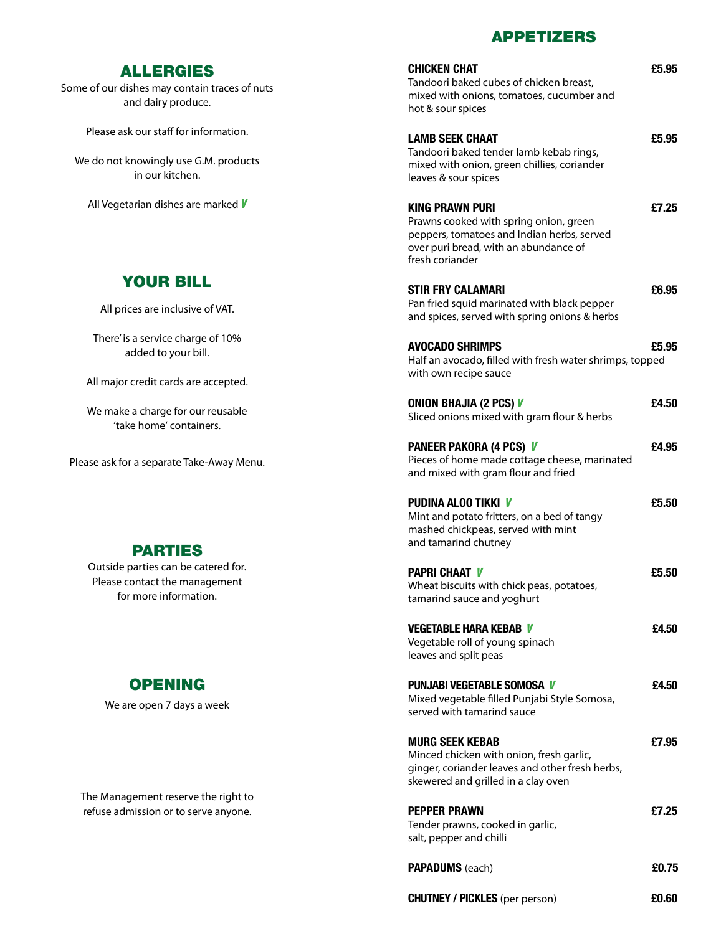#### APPETIzERS

| <b>CHICKEN CHAT</b><br>Tandoori baked cubes of chicken breast,<br>mixed with onions, tomatoes, cucumber and<br>hot & sour spices                                           | £5.95 |
|----------------------------------------------------------------------------------------------------------------------------------------------------------------------------|-------|
| <b>LAMB SEEK CHAAT</b><br>Tandoori baked tender lamb kebab rings,<br>mixed with onion, green chillies, coriander<br>leaves & sour spices                                   | £5.95 |
| <b>KING PRAWN PURI</b><br>Prawns cooked with spring onion, green<br>peppers, tomatoes and Indian herbs, served<br>over puri bread, with an abundance of<br>fresh coriander | £7.25 |
| <b>STIR FRY CALAMARI</b><br>Pan fried squid marinated with black pepper<br>and spices, served with spring onions & herbs                                                   | £6.95 |
| <b>AVOCADO SHRIMPS</b><br>Half an avocado, filled with fresh water shrimps, topped<br>with own recipe sauce                                                                | £5.95 |
| <b>ONION BHAJIA (2 PCS) V</b><br>Sliced onions mixed with gram flour & herbs                                                                                               | £4.50 |
| <b>PANEER PAKORA (4 PCS) V</b><br>Pieces of home made cottage cheese, marinated<br>and mixed with gram flour and fried                                                     | £4.95 |
| <b>PUDINA ALOO TIKKI V</b><br>Mint and potato fritters, on a bed of tangy<br>mashed chickpeas, served with mint<br>and tamarind chutney                                    | £5.50 |
| <b>PAPRI CHAAT V</b><br>Wheat biscuits with chick peas, potatoes,<br>tamarind sauce and yoghurt                                                                            | £5.50 |
| <b>VEGETABLE HARA KEBAB V</b><br>Vegetable roll of young spinach<br>leaves and split peas                                                                                  | £4.50 |
| <b>PUNJABI VEGETABLE SOMOSA V</b><br>Mixed vegetable filled Punjabi Style Somosa,<br>served with tamarind sauce                                                            | £4.50 |
| <b>MURG SEEK KEBAB</b><br>Minced chicken with onion, fresh garlic,<br>ginger, coriander leaves and other fresh herbs,<br>skewered and grilled in a clay oven               | £7.95 |
| <b>PEPPER PRAWN</b><br>Tender prawns, cooked in garlic,<br>salt, pepper and chilli                                                                                         | £7.25 |
| <b>PAPADUMS</b> (each)                                                                                                                                                     | £0.75 |
| <b>CHUTNEY / PICKLES</b> (per person)                                                                                                                                      | £0.60 |

### ALLERGIES

Some of our dishes may contain traces of nuts and dairy produce.

Please ask our staff for information.

We do not knowingly use G.M. products in our kitchen.

All Vegetarian dishes are marked *V*

# Your Bill

All prices are inclusive of VAT.

There' is a service charge of 10% added to your bill.

All major credit cards are accepted.

We make a charge for our reusable 'take home' containers.

Please ask for a separate Take-Away Menu.

# **PARTIES**

Outside parties can be catered for. Please contact the management for more information.

# **OPENING**

We are open 7 days a week

The Management reserve the right to refuse admission or to serve anyone.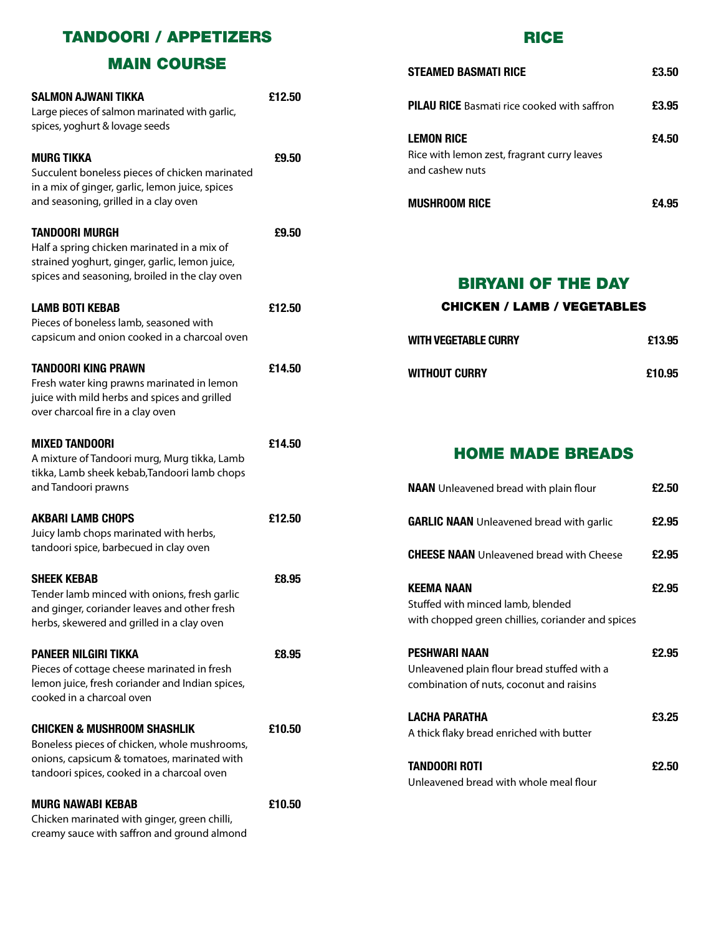## TANDOORI / APPETIZERS

### MAIN COURSE

| <b>SALMON AJWANI TIKKA</b><br>Large pieces of salmon marinated with garlic,<br>spices, yoghurt & lovage seeds                                                                       | £12.50 |
|-------------------------------------------------------------------------------------------------------------------------------------------------------------------------------------|--------|
| <b>MURG TIKKA</b><br>Succulent boneless pieces of chicken marinated<br>in a mix of ginger, garlic, lemon juice, spices<br>and seasoning, grilled in a clay oven                     | £9.50  |
| <b>TANDOORI MURGH</b><br>Half a spring chicken marinated in a mix of<br>strained yoghurt, ginger, garlic, lemon juice,<br>spices and seasoning, broiled in the clay oven            | £9.50  |
| <b>LAMB BOTI KEBAB</b><br>Pieces of boneless lamb, seasoned with<br>capsicum and onion cooked in a charcoal oven                                                                    | £12.50 |
| <b>TANDOORI KING PRAWN</b><br>Fresh water king prawns marinated in lemon<br>juice with mild herbs and spices and grilled<br>over charcoal fire in a clay oven                       | £14.50 |
| <b>MIXED TANDOORI</b><br>A mixture of Tandoori murg, Murg tikka, Lamb<br>tikka, Lamb sheek kebab, Tandoori lamb chops<br>and Tandoori prawns                                        | £14.50 |
| <b>AKBARI LAMB CHOPS</b><br>Juicy lamb chops marinated with herbs,<br>tandoori spice, barbecued in clay oven                                                                        | £12.50 |
| <b>SHEEK KEBAB</b><br>Tender lamb minced with onions, fresh garlic<br>and ginger, coriander leaves and other fresh<br>herbs, skewered and grilled in a clay oven                    | £8.95  |
| <b>PANEER NILGIRI TIKKA</b><br>Pieces of cottage cheese marinated in fresh<br>lemon juice, fresh coriander and Indian spices,<br>cooked in a charcoal oven                          | £8.95  |
| <b>CHICKEN &amp; MUSHROOM SHASHLIK</b><br>Boneless pieces of chicken, whole mushrooms,<br>onions, capsicum & tomatoes, marinated with<br>tandoori spices, cooked in a charcoal oven | £10.50 |
| <b>MURG NAWABI KEBAB</b><br>Chicken marinated with ginger, green chilli,<br>creamy sauce with saffron and ground almond                                                             | £10.50 |

#### RICE

| Steamed Basmati Rice                                                                | £3.50 |
|-------------------------------------------------------------------------------------|-------|
| <b>PILAU RICE</b> Basmati rice cooked with saffron                                  | £3.95 |
| <b>LEMON RICE</b><br>Rice with lemon zest, fragrant curry leaves<br>and cashew nuts | £4.50 |
| <b>MUSHROOM RICE</b>                                                                | £4.95 |

#### BIRYANI OF THE DAY

#### Chicken / Lamb / Vegetables

| WITH VEGETABLE CURRY | £13.95 |
|----------------------|--------|
| WITHOUT CURRY        | £10.95 |

# HOME MADE BREADS

| <b>NAAN</b> Unleavened bread with plain flour                                                                   | £2.50 |
|-----------------------------------------------------------------------------------------------------------------|-------|
| <b>GARLIC NAAN</b> Unleavened bread with garlic                                                                 | £2.95 |
| <b>CHEESE NAAN</b> Unleavened bread with Cheese                                                                 | £2.95 |
| <b>KEEMA NAAN</b><br>Stuffed with minced lamb, blended<br>with chopped green chillies, coriander and spices     | £2.95 |
| <b>PESHWARI NAAN</b><br>Unleavened plain flour bread stuffed with a<br>combination of nuts, coconut and raisins | £2.95 |
| <b>LACHA PARATHA</b><br>A thick flaky bread enriched with butter                                                | £3.25 |
| TANDOORI ROTI<br>Unleavened bread with whole meal flour                                                         | £2.50 |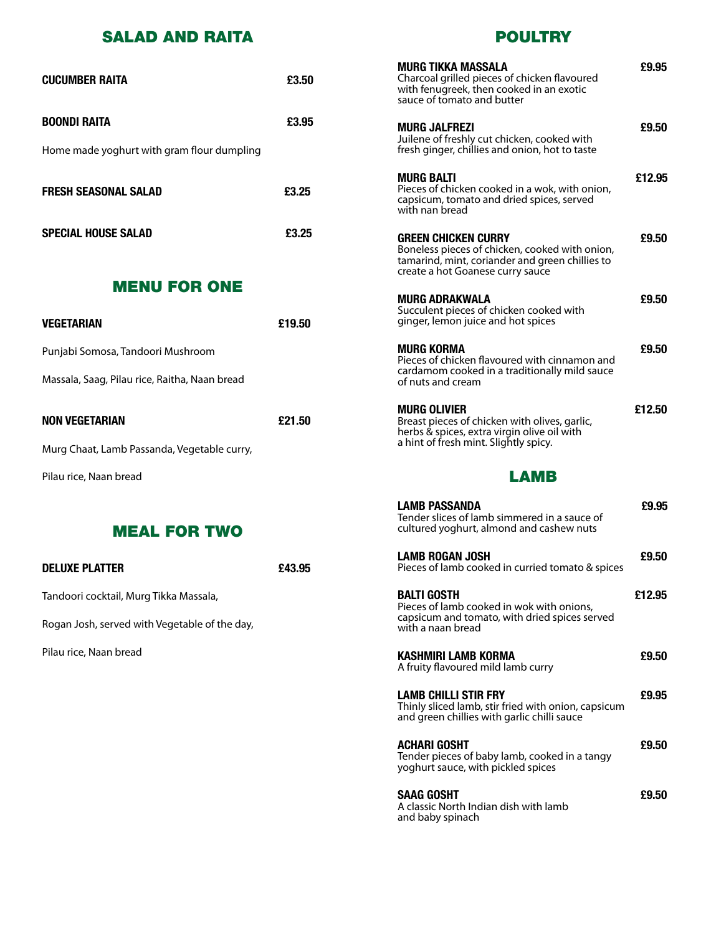## SALAD AND RAITA

POULTRY

| <b>CUCUMBER RAITA</b>                         | £3.50  | <b>MURG TIKKA MASSALA</b><br>Charcoal grilled pieces of chicken flavoured<br>with fenugreek, then cooked in an exotic<br>sauce of tomato and butter                 | £9.95  |
|-----------------------------------------------|--------|---------------------------------------------------------------------------------------------------------------------------------------------------------------------|--------|
| <b>BOONDI RAITA</b>                           | £3.95  | <b>MURG JALFREZI</b>                                                                                                                                                | £9.50  |
| Home made yoghurt with gram flour dumpling    |        | Juilene of freshly cut chicken, cooked with<br>fresh ginger, chillies and onion, hot to taste                                                                       |        |
| <b>FRESH SEASONAL SALAD</b>                   | £3.25  | <b>MURG BALTI</b><br>Pieces of chicken cooked in a wok, with onion,<br>capsicum, tomato and dried spices, served<br>with nan bread                                  | £12.95 |
| <b>SPECIAL HOUSE SALAD</b>                    | £3.25  | <b>GREEN CHICKEN CURRY</b><br>Boneless pieces of chicken, cooked with onion,<br>tamarind, mint, coriander and green chillies to<br>create a hot Goanese curry sauce | £9.50  |
| <b>MENU FOR ONE</b>                           |        | <b>MURG ADRAKWALA</b>                                                                                                                                               | £9.50  |
| <b>VEGETARIAN</b>                             | £19.50 | Succulent pieces of chicken cooked with<br>ginger, lemon juice and hot spices                                                                                       |        |
| Punjabi Somosa, Tandoori Mushroom             |        | <b>MURG KORMA</b><br>Pieces of chicken flavoured with cinnamon and                                                                                                  | £9.50  |
| Massala, Saag, Pilau rice, Raitha, Naan bread |        | cardamom cooked in a traditionally mild sauce<br>of nuts and cream                                                                                                  |        |
| <b>NON VEGETARIAN</b>                         | £21.50 | <b>MURG OLIVIER</b><br>Breast pieces of chicken with olives, garlic,<br>herbs & spices, extra virgin olive oil with                                                 | £12.50 |
| Murg Chaat, Lamb Passanda, Vegetable curry,   |        | a hint of fresh mint. Slightly spicy.                                                                                                                               |        |
| Pilau rice, Naan bread                        |        | <b>LAMB</b>                                                                                                                                                         |        |
| <b>MEAL FOR TWO</b>                           |        | <b>LAMB PASSANDA</b><br>Tender slices of lamb simmered in a sauce of<br>cultured yoghurt, almond and cashew nuts                                                    | £9.95  |
| <b>DELUXE PLATTER</b>                         | £43.95 | <b>LAMB ROGAN JOSH</b><br>Pieces of lamb cooked in curried tomato & spices                                                                                          | £9.50  |
| Tandoori cocktail, Murg Tikka Massala,        |        | <b>BALTI GOSTH</b>                                                                                                                                                  | £12.95 |
| Rogan Josh, served with Vegetable of the day, |        | Pieces of lamb cooked in wok with onions,<br>capsicum and tomato, with dried spices served<br>with a naan bread                                                     |        |
| Pilau rice, Naan bread                        |        | KASHMIRI LAMB KORMA<br>A fruity flavoured mild lamb curry                                                                                                           | £9.50  |
|                                               |        | <b>LAMB CHILLI STIR FRY</b><br>Thinly sliced lamb, stir fried with onion, capsicum<br>and green chillies with garlic chilli sauce                                   | £9.95  |
|                                               |        | <b>ACHARI GOSHT</b><br>Tender pieces of baby lamb, cooked in a tangy<br>yoghurt sauce, with pickled spices                                                          | £9.50  |
|                                               |        |                                                                                                                                                                     |        |

**SAAG GOSHT £9.50** A classic North Indian dish with lamb and baby spinach